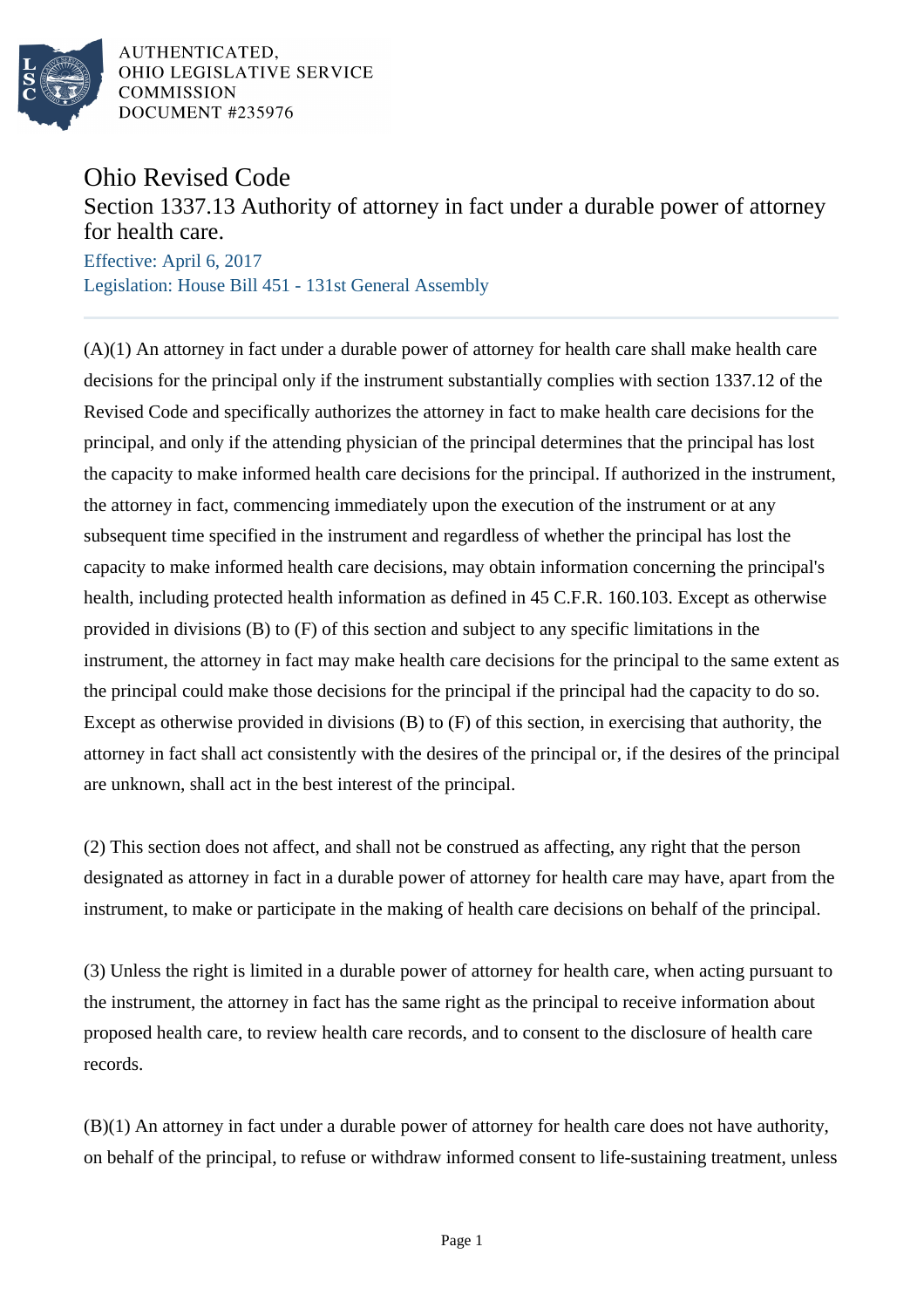

## Ohio Revised Code

## Section 1337.13 Authority of attorney in fact under a durable power of attorney for health care.

Effective: April 6, 2017 Legislation: House Bill 451 - 131st General Assembly

(A)(1) An attorney in fact under a durable power of attorney for health care shall make health care decisions for the principal only if the instrument substantially complies with section 1337.12 of the Revised Code and specifically authorizes the attorney in fact to make health care decisions for the principal, and only if the attending physician of the principal determines that the principal has lost the capacity to make informed health care decisions for the principal. If authorized in the instrument, the attorney in fact, commencing immediately upon the execution of the instrument or at any subsequent time specified in the instrument and regardless of whether the principal has lost the capacity to make informed health care decisions, may obtain information concerning the principal's health, including protected health information as defined in 45 C.F.R. 160.103. Except as otherwise provided in divisions (B) to (F) of this section and subject to any specific limitations in the instrument, the attorney in fact may make health care decisions for the principal to the same extent as the principal could make those decisions for the principal if the principal had the capacity to do so. Except as otherwise provided in divisions (B) to (F) of this section, in exercising that authority, the attorney in fact shall act consistently with the desires of the principal or, if the desires of the principal are unknown, shall act in the best interest of the principal.

(2) This section does not affect, and shall not be construed as affecting, any right that the person designated as attorney in fact in a durable power of attorney for health care may have, apart from the instrument, to make or participate in the making of health care decisions on behalf of the principal.

(3) Unless the right is limited in a durable power of attorney for health care, when acting pursuant to the instrument, the attorney in fact has the same right as the principal to receive information about proposed health care, to review health care records, and to consent to the disclosure of health care records.

(B)(1) An attorney in fact under a durable power of attorney for health care does not have authority, on behalf of the principal, to refuse or withdraw informed consent to life-sustaining treatment, unless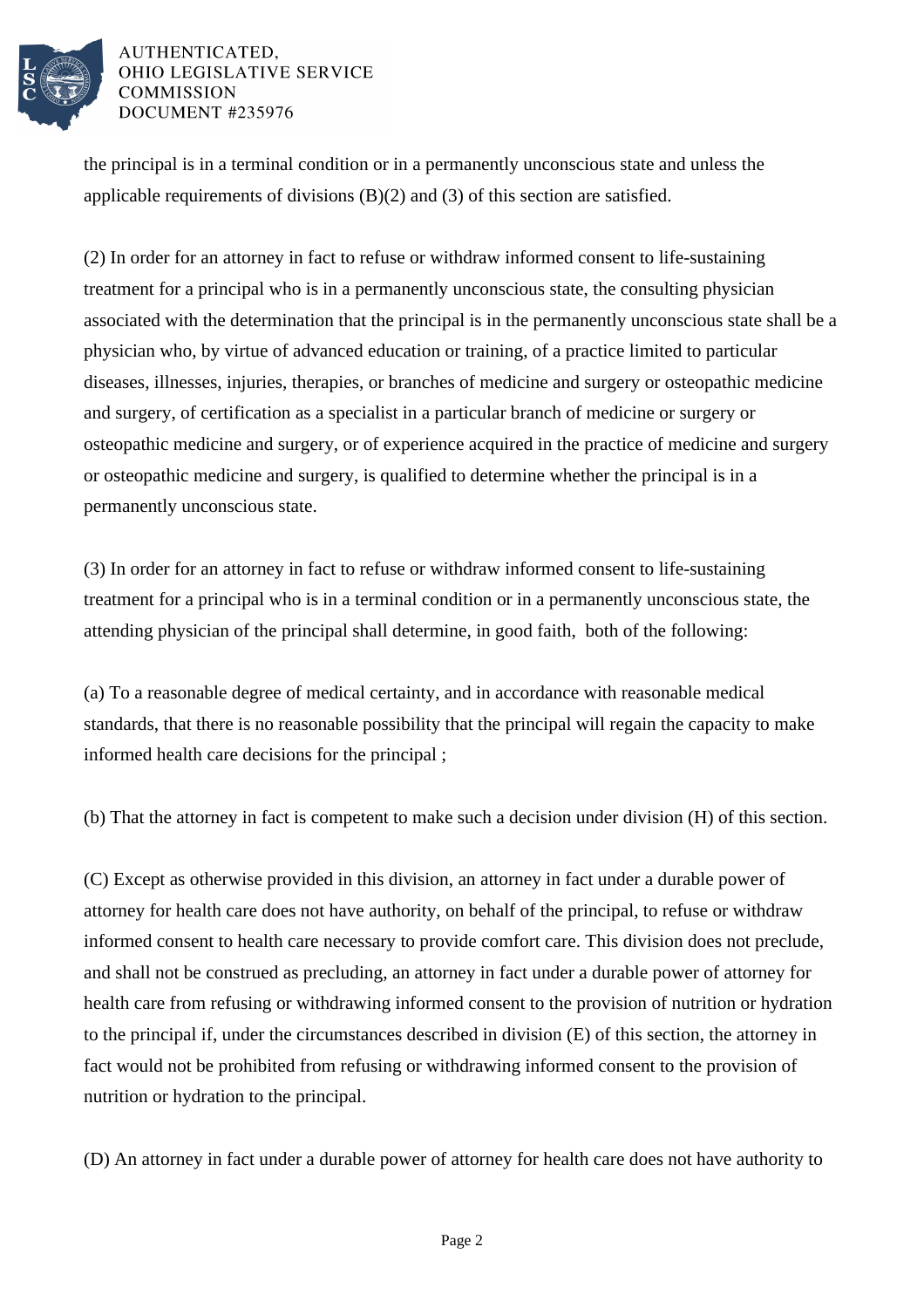

the principal is in a terminal condition or in a permanently unconscious state and unless the applicable requirements of divisions (B)(2) and (3) of this section are satisfied.

(2) In order for an attorney in fact to refuse or withdraw informed consent to life-sustaining treatment for a principal who is in a permanently unconscious state, the consulting physician associated with the determination that the principal is in the permanently unconscious state shall be a physician who, by virtue of advanced education or training, of a practice limited to particular diseases, illnesses, injuries, therapies, or branches of medicine and surgery or osteopathic medicine and surgery, of certification as a specialist in a particular branch of medicine or surgery or osteopathic medicine and surgery, or of experience acquired in the practice of medicine and surgery or osteopathic medicine and surgery, is qualified to determine whether the principal is in a permanently unconscious state.

(3) In order for an attorney in fact to refuse or withdraw informed consent to life-sustaining treatment for a principal who is in a terminal condition or in a permanently unconscious state, the attending physician of the principal shall determine, in good faith, both of the following:

(a) To a reasonable degree of medical certainty, and in accordance with reasonable medical standards, that there is no reasonable possibility that the principal will regain the capacity to make informed health care decisions for the principal ;

(b) That the attorney in fact is competent to make such a decision under division (H) of this section.

(C) Except as otherwise provided in this division, an attorney in fact under a durable power of attorney for health care does not have authority, on behalf of the principal, to refuse or withdraw informed consent to health care necessary to provide comfort care. This division does not preclude, and shall not be construed as precluding, an attorney in fact under a durable power of attorney for health care from refusing or withdrawing informed consent to the provision of nutrition or hydration to the principal if, under the circumstances described in division (E) of this section, the attorney in fact would not be prohibited from refusing or withdrawing informed consent to the provision of nutrition or hydration to the principal.

(D) An attorney in fact under a durable power of attorney for health care does not have authority to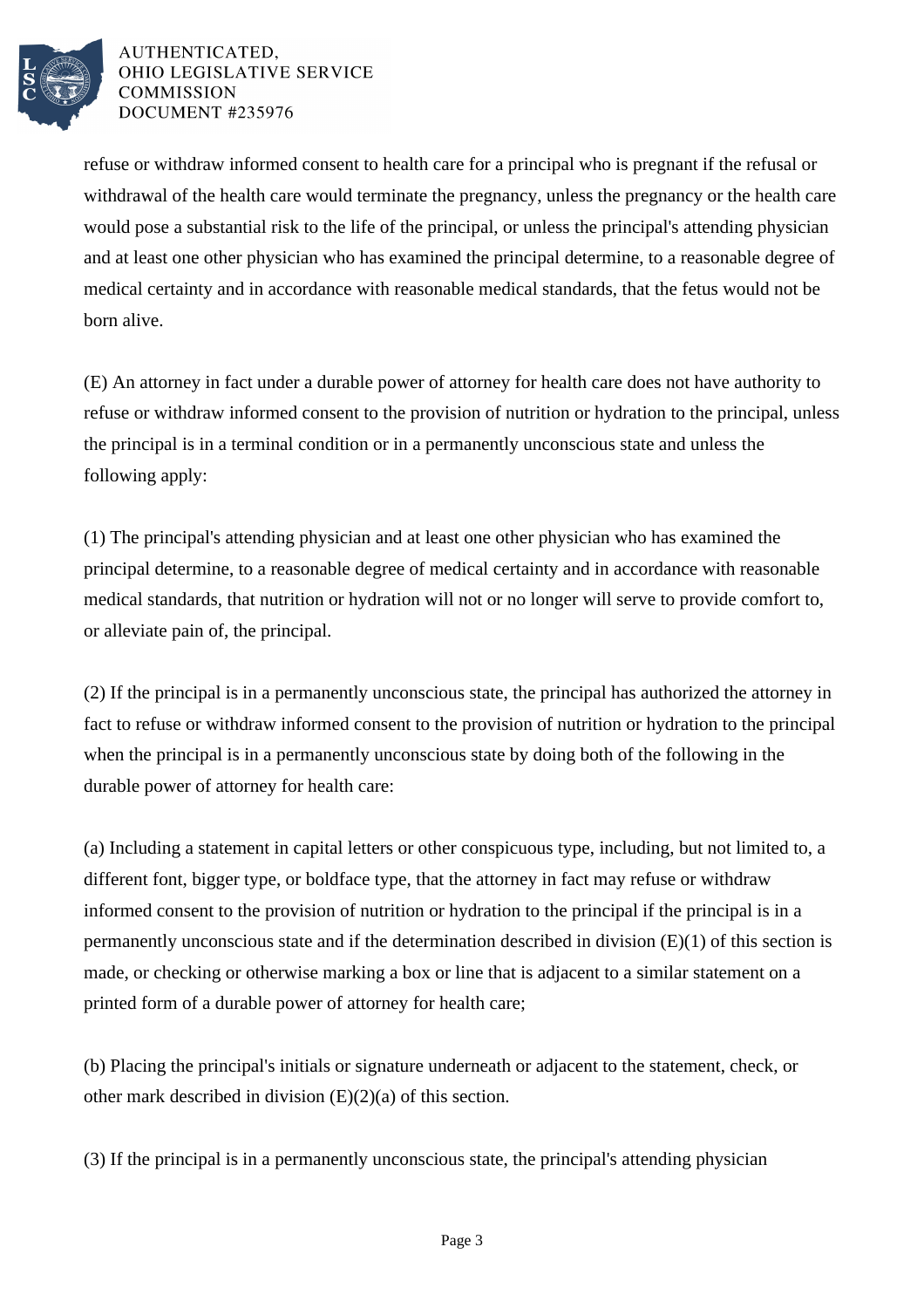

refuse or withdraw informed consent to health care for a principal who is pregnant if the refusal or withdrawal of the health care would terminate the pregnancy, unless the pregnancy or the health care would pose a substantial risk to the life of the principal, or unless the principal's attending physician and at least one other physician who has examined the principal determine, to a reasonable degree of medical certainty and in accordance with reasonable medical standards, that the fetus would not be born alive.

(E) An attorney in fact under a durable power of attorney for health care does not have authority to refuse or withdraw informed consent to the provision of nutrition or hydration to the principal, unless the principal is in a terminal condition or in a permanently unconscious state and unless the following apply:

(1) The principal's attending physician and at least one other physician who has examined the principal determine, to a reasonable degree of medical certainty and in accordance with reasonable medical standards, that nutrition or hydration will not or no longer will serve to provide comfort to, or alleviate pain of, the principal.

(2) If the principal is in a permanently unconscious state, the principal has authorized the attorney in fact to refuse or withdraw informed consent to the provision of nutrition or hydration to the principal when the principal is in a permanently unconscious state by doing both of the following in the durable power of attorney for health care:

(a) Including a statement in capital letters or other conspicuous type, including, but not limited to, a different font, bigger type, or boldface type, that the attorney in fact may refuse or withdraw informed consent to the provision of nutrition or hydration to the principal if the principal is in a permanently unconscious state and if the determination described in division (E)(1) of this section is made, or checking or otherwise marking a box or line that is adjacent to a similar statement on a printed form of a durable power of attorney for health care;

(b) Placing the principal's initials or signature underneath or adjacent to the statement, check, or other mark described in division (E)(2)(a) of this section.

(3) If the principal is in a permanently unconscious state, the principal's attending physician